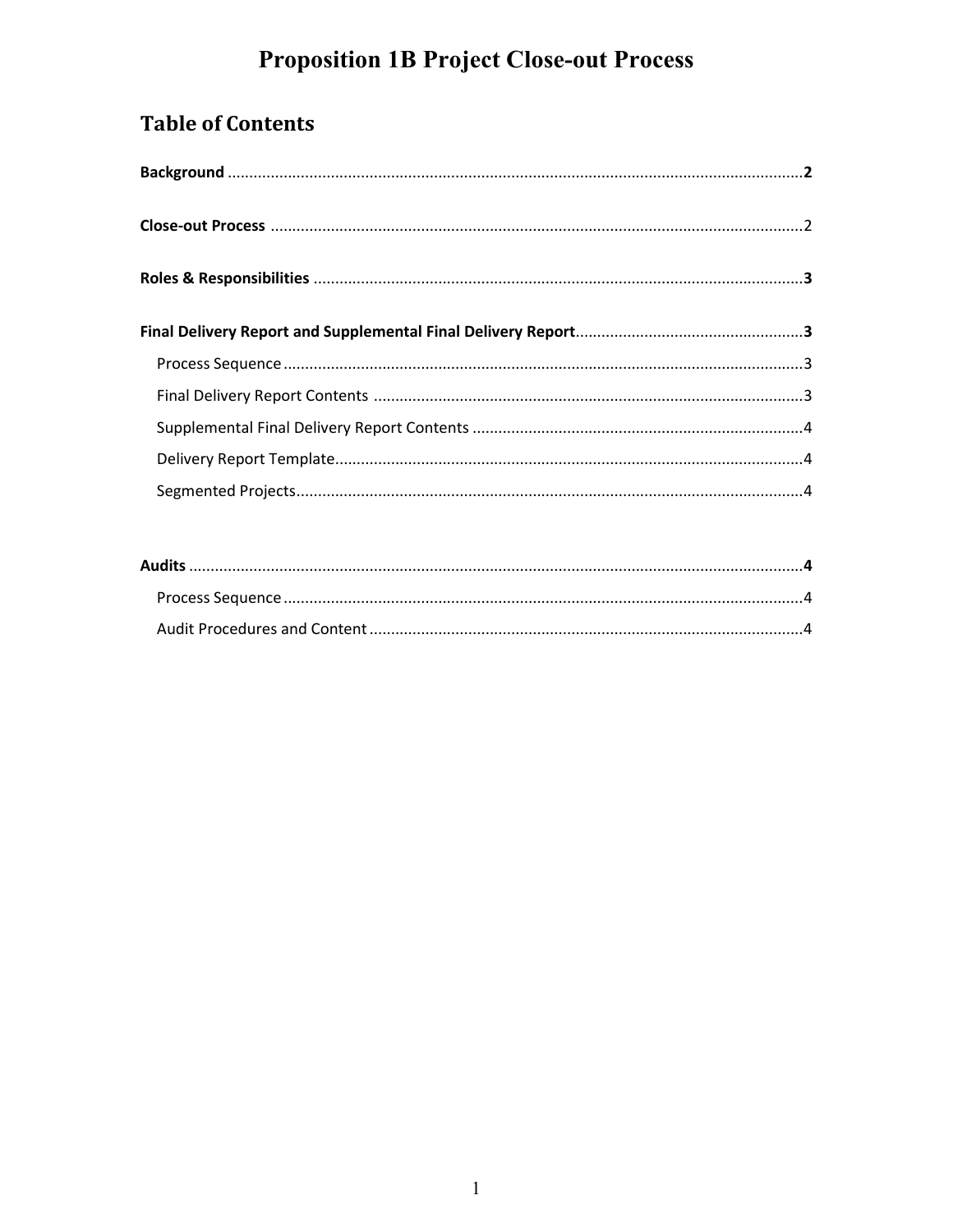# **Proposition 1B Project Close-out Process**

## **Table of Contents**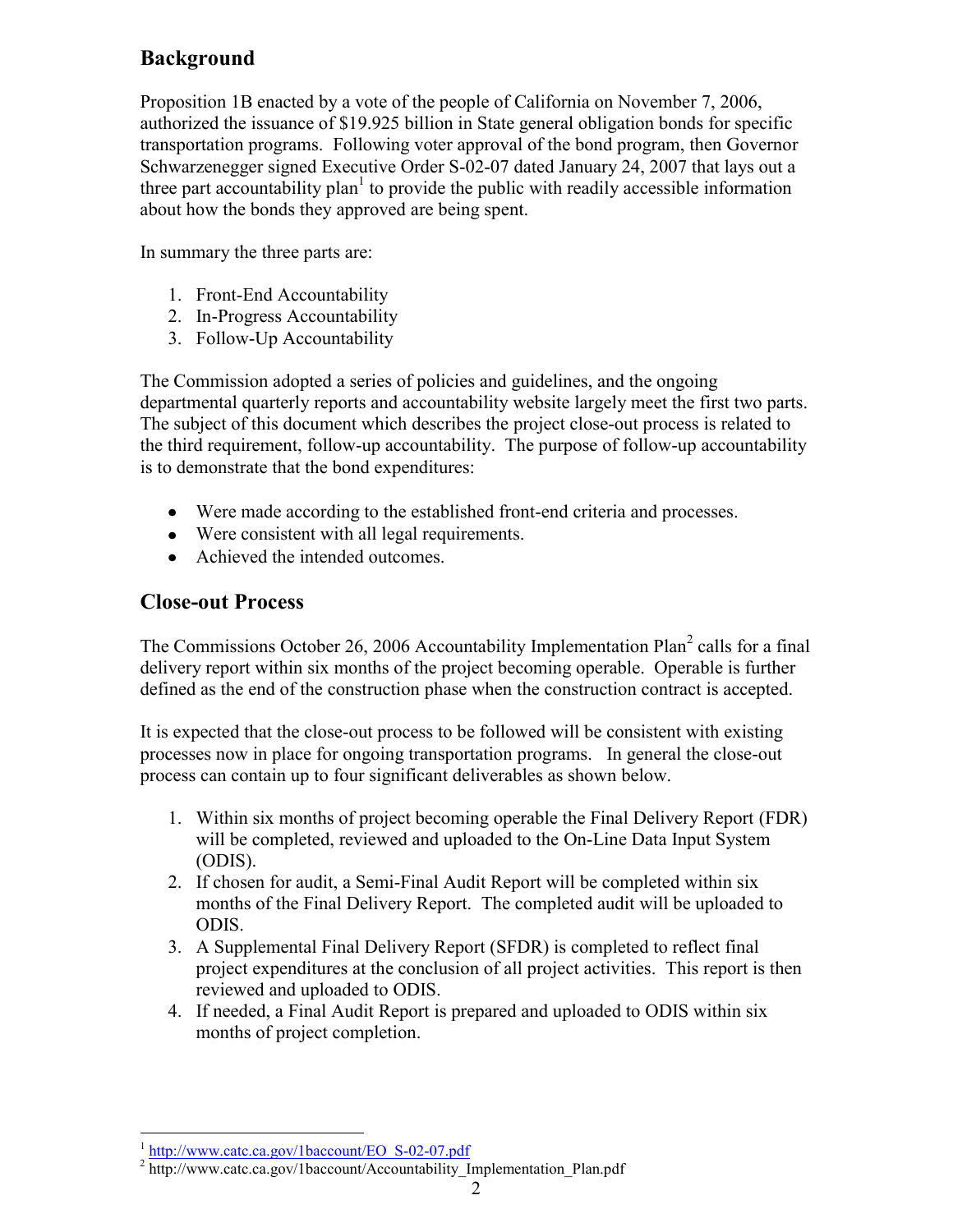## **Background**

Proposition 1B enacted by a vote of the people of California on November 7, 2006, authorized the issuance of \$19.925 billion in State general obligation bonds for specific transportation programs. Following voter approval of the bond program, then Governor Schwarzenegger signed Executive Order S-02-07 dated January 24, 2007 that lays out a three part accountability plan<sup>1</sup> to provide the public with readily accessible information about how the bonds they approved are being spent.

In summary the three parts are:

- 1. Front-End Accountability
- 2. In-Progress Accountability
- 3. Follow-Up Accountability

The Commission adopted a series of policies and guidelines, and the ongoing departmental quarterly reports and accountability website largely meet the first two parts. The subject of this document which describes the project close-out process is related to the third requirement, follow-up accountability. The purpose of follow-up accountability is to demonstrate that the bond expenditures:

- Were made according to the established front-end criteria and processes.
- Were consistent with all legal requirements.
- Achieved the intended outcomes.

### **Close-out Process**

The Commissions October 26, 2006 Accountability Implementation Plan<sup>2</sup> calls for a final delivery report within six months of the project becoming operable. Operable is further defined as the end of the construction phase when the construction contract is accepted.

It is expected that the close-out process to be followed will be consistent with existing processes now in place for ongoing transportation programs. In general the close-out process can contain up to four significant deliverables as shown below.

- 1. Within six months of project becoming operable the Final Delivery Report (FDR) will be completed, reviewed and uploaded to the On-Line Data Input System (ODIS).
- 2. If chosen for audit, a Semi-Final Audit Report will be completed within six months of the Final Delivery Report. The completed audit will be uploaded to ODIS.
- 3. A Supplemental Final Delivery Report (SFDR) is completed to reflect final project expenditures at the conclusion of all project activities. This report is then reviewed and uploaded to ODIS.
- 4. If needed, a Final Audit Report is prepared and uploaded to ODIS within six months of project completion.

<sup>&</sup>lt;sup>1</sup> [http://www.catc.ca.gov/1baccount/EO\\_S-02-07.pdf](http://www.catc.ca.gov/1baccount/EO_S-02-07.pdf)

<sup>&</sup>lt;sup>2</sup> [http://www.catc.ca.gov/1baccount/Accountability\\_Implementation\\_Plan.pdf](http://www.catc.ca.gov/1baccount/Accountability_Implementation_Plan.pdf)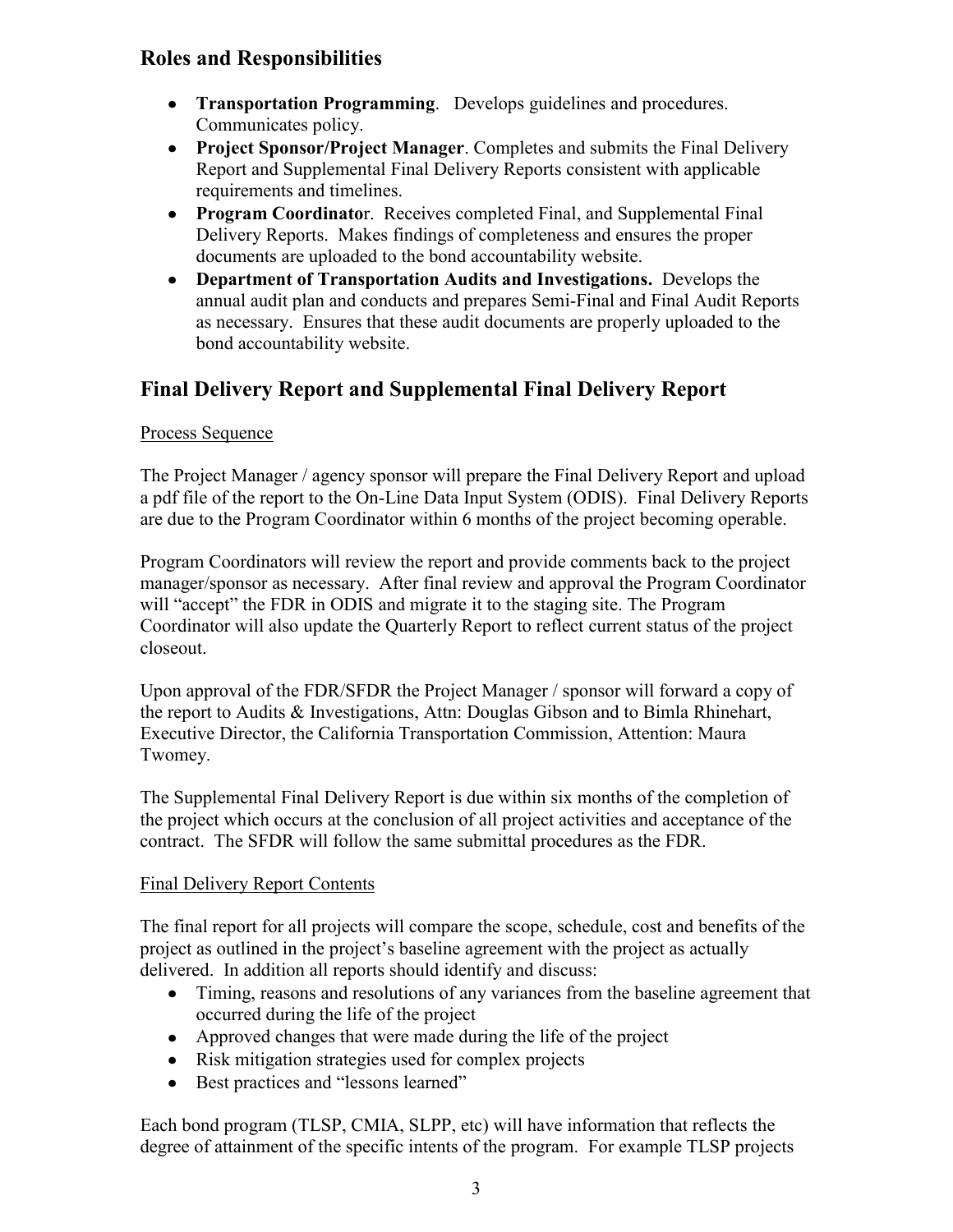## **Roles and Responsibilities**

- **Transportation Programming**. Develops guidelines and procedures. Communicates policy.
- **Project Sponsor/Project Manager**. Completes and submits the Final Delivery Report and Supplemental Final Delivery Reports consistent with applicable requirements and timelines.
- **Program Coordinato**r. Receives completed Final, and Supplemental Final Delivery Reports. Makes findings of completeness and ensures the proper documents are uploaded to the bond accountability website.
- **Department of Transportation Audits and Investigations.** Develops the annual audit plan and conducts and prepares Semi-Final and Final Audit Reports as necessary. Ensures that these audit documents are properly uploaded to the bond accountability website.

## **Final Delivery Report and Supplemental Final Delivery Report**

#### Process Sequence

The Project Manager / agency sponsor will prepare the Final Delivery Report and upload a pdf file of the report to the On-Line Data Input System (ODIS). Final Delivery Reports are due to the Program Coordinator within 6 months of the project becoming operable.

Program Coordinators will review the report and provide comments back to the project manager/sponsor as necessary. After final review and approval the Program Coordinator will "accept" the FDR in ODIS and migrate it to the staging site. The Program Coordinator will also update the Quarterly Report to reflect current status of the project closeout.

Upon approval of the FDR/SFDR the Project Manager / sponsor will forward a copy of the report to Audits & Investigations, Attn: Douglas Gibson and to Bimla Rhinehart, Executive Director, the California Transportation Commission, Attention: Maura Twomey.

The Supplemental Final Delivery Report is due within six months of the completion of the project which occurs at the conclusion of all project activities and acceptance of the contract. The SFDR will follow the same submittal procedures as the FDR.

#### Final Delivery Report Contents

The final report for all projects will compare the scope, schedule, cost and benefits of the project as outlined in the project's baseline agreement with the project as actually delivered. In addition all reports should identify and discuss:

- Timing, reasons and resolutions of any variances from the baseline agreement that occurred during the life of the project
- Approved changes that were made during the life of the project
- Risk mitigation strategies used for complex projects
- Best practices and "lessons learned"

Each bond program (TLSP, CMIA, SLPP, etc) will have information that reflects the degree of attainment of the specific intents of the program. For example TLSP projects